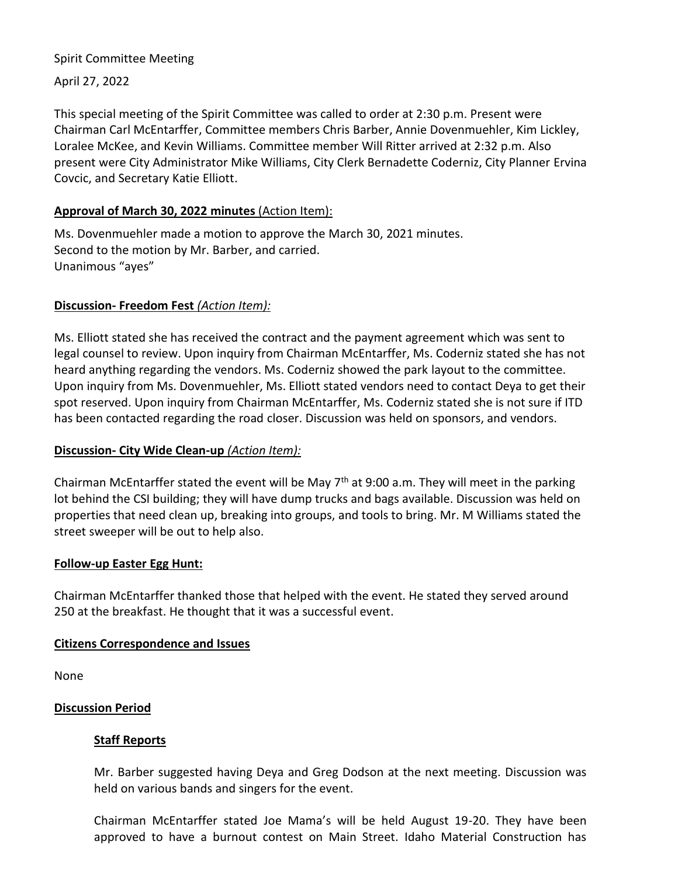# Spirit Committee Meeting

April 27, 2022

This special meeting of the Spirit Committee was called to order at 2:30 p.m. Present were Chairman Carl McEntarffer, Committee members Chris Barber, Annie Dovenmuehler, Kim Lickley, Loralee McKee, and Kevin Williams. Committee member Will Ritter arrived at 2:32 p.m. Also present were City Administrator Mike Williams, City Clerk Bernadette Coderniz, City Planner Ervina Covcic, and Secretary Katie Elliott.

# **Approval of March 30, 2022 minutes** (Action Item):

Ms. Dovenmuehler made a motion to approve the March 30, 2021 minutes. Second to the motion by Mr. Barber, and carried. Unanimous "ayes"

## **Discussion- Freedom Fest** *(Action Item):*

Ms. Elliott stated she has received the contract and the payment agreement which was sent to legal counsel to review. Upon inquiry from Chairman McEntarffer, Ms. Coderniz stated she has not heard anything regarding the vendors. Ms. Coderniz showed the park layout to the committee. Upon inquiry from Ms. Dovenmuehler, Ms. Elliott stated vendors need to contact Deya to get their spot reserved. Upon inquiry from Chairman McEntarffer, Ms. Coderniz stated she is not sure if ITD has been contacted regarding the road closer. Discussion was held on sponsors, and vendors.

# **Discussion- City Wide Clean-up** *(Action Item):*

Chairman McEntarffer stated the event will be May  $7<sup>th</sup>$  at 9:00 a.m. They will meet in the parking lot behind the CSI building; they will have dump trucks and bags available. Discussion was held on properties that need clean up, breaking into groups, and tools to bring. Mr. M Williams stated the street sweeper will be out to help also.

#### **Follow-up Easter Egg Hunt:**

Chairman McEntarffer thanked those that helped with the event. He stated they served around 250 at the breakfast. He thought that it was a successful event.

#### **Citizens Correspondence and Issues**

None

#### **Discussion Period**

#### **Staff Reports**

Mr. Barber suggested having Deya and Greg Dodson at the next meeting. Discussion was held on various bands and singers for the event.

Chairman McEntarffer stated Joe Mama's will be held August 19-20. They have been approved to have a burnout contest on Main Street. Idaho Material Construction has